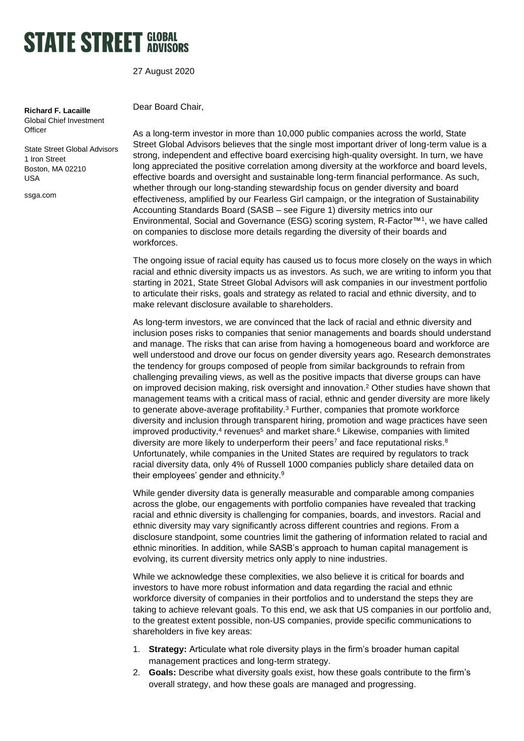## **STATE STREET SLOBAL**

27 August 2020

#### **Richard F. Lacaille** Global Chief Investment

**Officer** 

State Street Global Advisors 1 Iron Street Boston, MA 02210 USA

ssga.com

Dear Board Chair,

As a long-term investor in more than 10,000 public companies across the world, State Street Global Advisors believes that the single most important driver of long-term value is a strong, independent and effective board exercising high-quality oversight. In turn, we have long appreciated the positive correlation among diversity at the workforce and board levels, effective boards and oversight and sustainable long-term financial performance. As such, whether through our long-standing stewardship focus on gender diversity and board effectiveness, amplified by our Fearless Girl campaign, or the integration of Sustainability Accounting Standards Board (SASB – see Figure 1) diversity metrics into our Environmental, Social and Governance (ESG) scoring system, R-Factor™<sup>1</sup> , we have called on companies to disclose more details regarding the diversity of their boards and workforces.

The ongoing issue of racial equity has caused us to focus more closely on the ways in which racial and ethnic diversity impacts us as investors. As such, we are writing to inform you that starting in 2021, State Street Global Advisors will ask companies in our investment portfolio to articulate their risks, goals and strategy as related to racial and ethnic diversity, and to make relevant disclosure available to shareholders.

As long-term investors, we are convinced that the lack of racial and ethnic diversity and inclusion poses risks to companies that senior managements and boards should understand and manage. The risks that can arise from having a homogeneous board and workforce are well understood and drove our focus on gender diversity years ago. Research demonstrates the tendency for groups composed of people from similar backgrounds to refrain from challenging prevailing views, as well as the positive impacts that diverse groups can have on improved decision making, risk oversight and innovation.<sup>2</sup> Other studies have shown that management teams with a critical mass of racial, ethnic and gender diversity are more likely to generate above-average profitability.<sup>3</sup> Further, companies that promote workforce diversity and inclusion through transparent hiring, promotion and wage practices have seen improved productivity,<sup>4</sup> revenues<sup>5</sup> and market share.<sup>6</sup> Likewise, companies with limited diversity are more likely to underperform their peers<sup>7</sup> and face reputational risks.<sup>8</sup> Unfortunately, while companies in the United States are required by regulators to track racial diversity data, only 4% of Russell 1000 companies publicly share detailed data on their employees' gender and ethnicity.<sup>9</sup>

While gender diversity data is generally measurable and comparable among companies across the globe, our engagements with portfolio companies have revealed that tracking racial and ethnic diversity is challenging for companies, boards, and investors. Racial and ethnic diversity may vary significantly across different countries and regions. From a disclosure standpoint, some countries limit the gathering of information related to racial and ethnic minorities. In addition, while SASB's approach to human capital management is evolving, its current diversity metrics only apply to nine industries.

While we acknowledge these complexities, we also believe it is critical for boards and investors to have more robust information and data regarding the racial and ethnic workforce diversity of companies in their portfolios and to understand the steps they are taking to achieve relevant goals. To this end, we ask that US companies in our portfolio and, to the greatest extent possible, non-US companies, provide specific communications to shareholders in five key areas:

- 1. **Strategy:** Articulate what role diversity plays in the firm's broader human capital management practices and long-term strategy.
- 2. **Goals:** Describe what diversity goals exist, how these goals contribute to the firm's overall strategy, and how these goals are managed and progressing.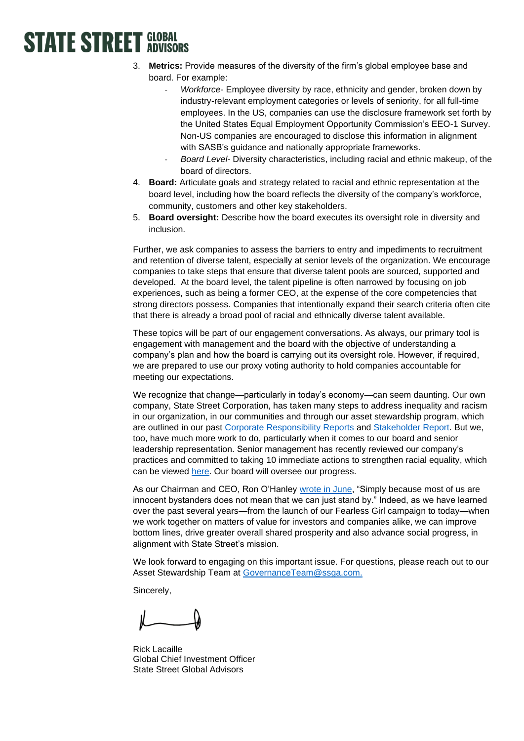# **STATE STREET GLOBAL**

- 3. **Metrics:** Provide measures of the diversity of the firm's global employee base and board. For example:
	- Workforce- Employee diversity by race, ethnicity and gender, broken down by industry-relevant employment categories or levels of seniority, for all full-time employees. In the US, companies can use the disclosure framework set forth by the United States Equal Employment Opportunity Commission's EEO-1 Survey. Non-US companies are encouraged to disclose this information in alignment with SASB's guidance and nationally appropriate frameworks.
	- *Board Level-* Diversity characteristics, including racial and ethnic makeup, of the board of directors.
- 4. **Board:** Articulate goals and strategy related to racial and ethnic representation at the board level, including how the board reflects the diversity of the company's workforce, community, customers and other key stakeholders.
- 5. **Board oversight:** Describe how the board executes its oversight role in diversity and inclusion.

Further, we ask companies to assess the barriers to entry and impediments to recruitment and retention of diverse talent, especially at senior levels of the organization. We encourage companies to take steps that ensure that diverse talent pools are sourced, supported and developed. At the board level, the talent pipeline is often narrowed by focusing on job experiences, such as being a former CEO, at the expense of the core competencies that strong directors possess. Companies that intentionally expand their search criteria often cite that there is already a broad pool of racial and ethnically diverse talent available.

These topics will be part of our engagement conversations. As always, our primary tool is engagement with management and the board with the objective of understanding a company's plan and how the board is carrying out its oversight role. However, if required, we are prepared to use our proxy voting authority to hold companies accountable for meeting our expectations.

We recognize that change—particularly in today's economy—can seem daunting. Our own company, State Street Corporation, has taken many steps to address inequality and racism in our organization, in our communities and through our asset stewardship program, which are outlined in our past [Corporate Responsibility Reports](https://www.statestreet.com/values/corporate-responsibility.html) and [Stakeholder Report.](https://www.statestreet.com/content/dam/statestreet/documents/State_Street_2019_Stakeholder_Report.pdf) But we, too, have much more work to do, particularly when it comes to our board and senior leadership representation. Senior management has recently reviewed our company's practices and committed to taking 10 immediate actions to strengthen racial equality, which can be viewed [here.](https://www.statestreet.com/content/dam/statestreet/documents/values/Addressing-Racism-and-Inequality_10-State-Street-Actions.pdf) Our board will oversee our progress.

As our Chairman and CEO, Ron O'Hanley [wrote in June,](https://www.linkedin.com/pulse/racism-degrades-all-us-why-each-must-part-solution-ronald-o-hanley) "Simply because most of us are innocent bystanders does not mean that we can just stand by." Indeed, as we have learned over the past several years—from the launch of our Fearless Girl campaign to today—when we work together on matters of value for investors and companies alike, we can improve bottom lines, drive greater overall shared prosperity and also advance social progress, in alignment with State Street's mission.

We look forward to engaging on this important issue. For questions, please reach out to our Asset Stewardship Team at [GovernanceTeam@ssga.com.](mailto:GovernanceTeam@ssga.com)

Sincerely,

Rick Lacaille Global Chief Investment Officer State Street Global Advisors